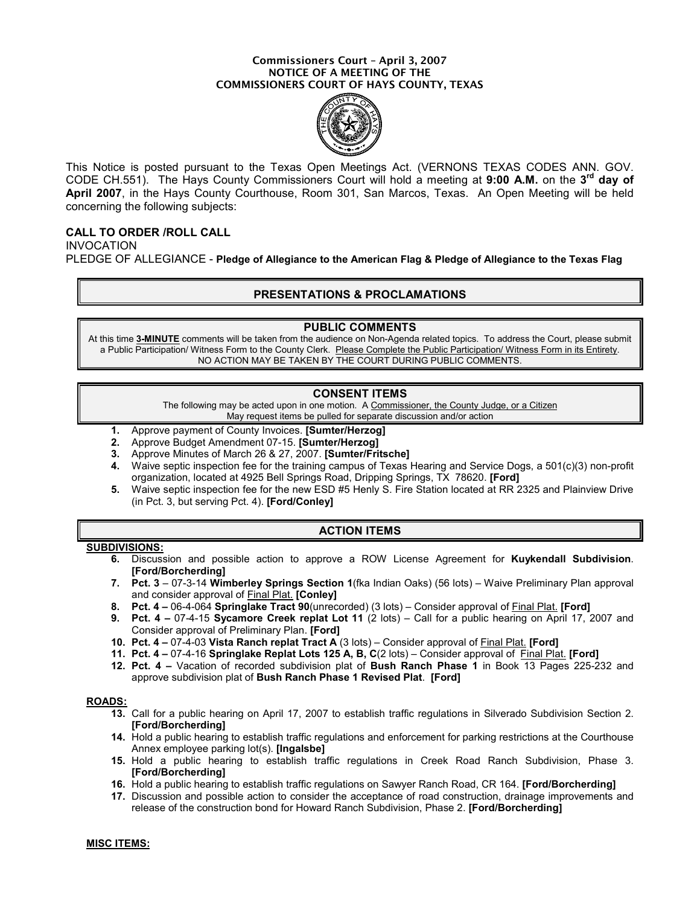#### Commissioners Court – April 3, 2007 NOTICE OF A MEETING OF THE COMMISSIONERS COURT OF HAYS COUNTY, TEXAS



This Notice is posted pursuant to the Texas Open Meetings Act. (VERNONS TEXAS CODES ANN. GOV. CODE CH.551). The Hays County Commissioners Court will hold a meeting at 9:00 A.M. on the 3<sup>rd</sup> day of April 2007, in the Hays County Courthouse, Room 301, San Marcos, Texas. An Open Meeting will be held concerning the following subjects:

# CALL TO ORDER /ROLL CALL

INVOCATION

PLEDGE OF ALLEGIANCE - Pledge of Allegiance to the American Flag & Pledge of Allegiance to the Texas Flag

# PRESENTATIONS & PROCLAMATIONS

### PUBLIC COMMENTS

At this time 3-MINUTE comments will be taken from the audience on Non-Agenda related topics. To address the Court, please submit a Public Participation/ Witness Form to the County Clerk. Please Complete the Public Participation/ Witness Form in its Entirety. NO ACTION MAY BE TAKEN BY THE COURT DURING PUBLIC COMMENTS.

# CONSENT ITEMS

The following may be acted upon in one motion. A Commissioner, the County Judge, or a Citizen May request items be pulled for separate discussion and/or action

- 1. Approve payment of County Invoices. [Sumter/Herzog]
- 2. Approve Budget Amendment 07-15. [Sumter/Herzog]
- 3. Approve Minutes of March 26 & 27, 2007. [Sumter/Fritsche]
- 4. Waive septic inspection fee for the training campus of Texas Hearing and Service Dogs, a 501(c)(3) non-profit organization, located at 4925 Bell Springs Road, Dripping Springs, TX 78620. [Ford]
- 5. Waive septic inspection fee for the new ESD #5 Henly S. Fire Station located at RR 2325 and Plainview Drive (in Pct. 3, but serving Pct. 4). [Ford/Conley]

# ACTION ITEMS

#### SUBDIVISIONS:

- 6. Discussion and possible action to approve a ROW License Agreement for Kuykendall Subdivision. [Ford/Borcherding]
- 7. Pct. 3 07-3-14 Wimberley Springs Section 1(fka Indian Oaks) (56 lots) Waive Preliminary Plan approval and consider approval of Final Plat. [Conley]
- 8. Pct. 4 06-4-064 Springlake Tract 90(unrecorded) (3 lots) Consider approval of Final Plat. [Ford]
- 9. Pct. 4 07-4-15 Sycamore Creek replat Lot 11 (2 lots) Call for a public hearing on April 17, 2007 and Consider approval of Preliminary Plan. [Ford]
- 10. Pct. 4 07-4-03 Vista Ranch replat Tract A (3 lots) Consider approval of Final Plat. [Ford]
- 11. Pct. 4 07-4-16 Springlake Replat Lots 125 A, B, C(2 lots) Consider approval of Final Plat. [Ford]
- 12. Pct. 4 Vacation of recorded subdivision plat of Bush Ranch Phase 1 in Book 13 Pages 225-232 and approve subdivision plat of Bush Ranch Phase 1 Revised Plat. [Ford]

### ROADS:

- 13. Call for a public hearing on April 17, 2007 to establish traffic regulations in Silverado Subdivision Section 2. [Ford/Borcherding]
- 14. Hold a public hearing to establish traffic regulations and enforcement for parking restrictions at the Courthouse Annex employee parking lot(s). [Ingalsbe]
- 15. Hold a public hearing to establish traffic regulations in Creek Road Ranch Subdivision, Phase 3. [Ford/Borcherding]
- 16. Hold a public hearing to establish traffic regulations on Sawyer Ranch Road, CR 164. [Ford/Borcherding]
- 17. Discussion and possible action to consider the acceptance of road construction, drainage improvements and release of the construction bond for Howard Ranch Subdivision, Phase 2. [Ford/Borcherding]